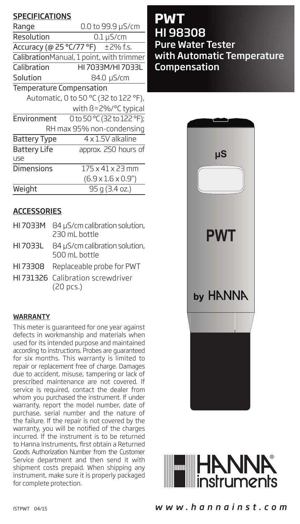# **SPECIFICATIONS**

| Range                                 | 0.0 to 99.9 µS/cm                        |  |  |
|---------------------------------------|------------------------------------------|--|--|
| Resolution                            | $0.1 \mu$ S/cm                           |  |  |
|                                       | Accuracy (@ 25 °C/77 °F) ±2% f.s.        |  |  |
|                                       | CalibrationManual, 1 point, with trimmer |  |  |
| Calibration                           | HI 7033M/HI 7033L                        |  |  |
| Solution                              | 84.0 µS/cm                               |  |  |
| <b>Temperature Compensation</b>       |                                          |  |  |
| Automatic, 0 to 50 °C (32 to 122 °F), |                                          |  |  |
|                                       | with B=2%/°C typical                     |  |  |
| Environment                           | 0 to 50 °C (32 to 122 °F);               |  |  |
| RH max 95% non-condensing             |                                          |  |  |
| <b>Battery Type</b>                   | 4 x 1.5V alkaline                        |  |  |
| <b>Battery Life</b>                   | approx. 250 hours of                     |  |  |
| use                                   |                                          |  |  |
| Dimensions                            | $175 \times 41 \times 23$ mm             |  |  |
|                                       | $(6.9 \times 1.6 \times 0.9'')$          |  |  |
| Weight                                | 95 a (3.4 oz.)                           |  |  |

# **ACCESSORIES**

- HI 7033M 84 uS/cm calibration solution, 230 mL bottle HI 7033L 84 µS/cm calibration solution,
- 500 mL bottle
- HI 73308 Replaceable probe for PWT
- HI 731326 Calibration screwdriver (20 pcs.)

#### WARRANTY

This meter is guaranteed for one year against defects in workmanship and materials when used for its intended purpose and maintained according to instructions. Probes are guaranteed for six months. This warranty is limited to repair or replacement free of charge. Damages due to accident, misuse, tampering or lack of prescribed maintenance are not covered. If service is required, contact the dealer from whom you purchased the instrument. If under warranty, report the model number, date of purchase, serial number and the nature of the failure. If the repair is not covered by the warranty, you will be notified of the charges incurred. If the instrument is to be returned to Hanna Instruments, first obtain a Returned Goods Authorization Number from the Customer Service department and then send it with shipment costs prepaid. When shipping any instrument, make sure it is properly packaged for complete protection.

**PWT** HI 98308 Pure Water Tester with Automatic Temperature Compensation